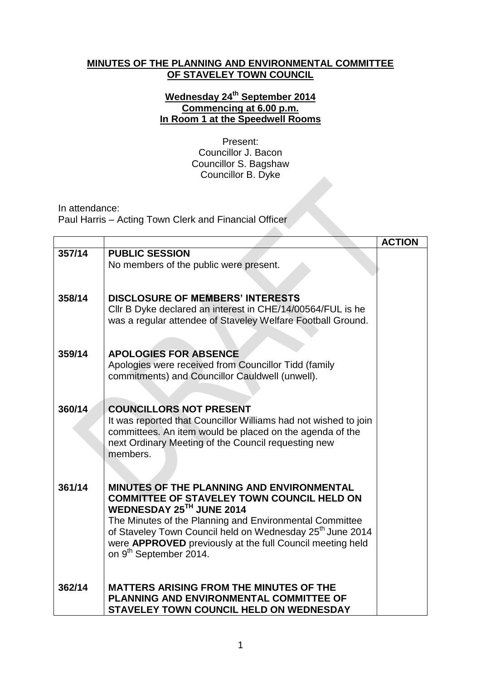## **MINUTES OF THE PLANNING AND ENVIRONMENTAL COMMITTEE OF STAVELEY TOWN COUNCIL**

## **Wednesday 24 th September 2014 Commencing at 6.00 p.m. In Room 1 at the Speedwell Rooms**

Present: Councillor J. Bacon Councillor S. Bagshaw Councillor B. Dyke

In attendance:

Paul Harris – Acting Town Clerk and Financial Officer

|        |                                                                                                                                                                                                | <b>ACTION</b> |
|--------|------------------------------------------------------------------------------------------------------------------------------------------------------------------------------------------------|---------------|
| 357/14 | <b>PUBLIC SESSION</b>                                                                                                                                                                          |               |
|        | No members of the public were present.                                                                                                                                                         |               |
| 358/14 | <b>DISCLOSURE OF MEMBERS' INTERESTS</b><br>CIIr B Dyke declared an interest in CHE/14/00564/FUL is he<br>was a regular attendee of Staveley Welfare Football Ground.                           |               |
| 359/14 | <b>APOLOGIES FOR ABSENCE</b>                                                                                                                                                                   |               |
|        | Apologies were received from Councillor Tidd (family<br>commitments) and Councillor Cauldwell (unwell).                                                                                        |               |
| 360/14 | <b>COUNCILLORS NOT PRESENT</b>                                                                                                                                                                 |               |
|        | It was reported that Councillor Williams had not wished to join<br>committees. An item would be placed on the agenda of the<br>next Ordinary Meeting of the Council requesting new<br>members. |               |
| 361/14 | <b>MINUTES OF THE PLANNING AND ENVIRONMENTAL</b>                                                                                                                                               |               |
|        | <b>COMMITTEE OF STAVELEY TOWN COUNCIL HELD ON</b><br>WEDNESDAY 25TH JUNE 2014                                                                                                                  |               |
|        | The Minutes of the Planning and Environmental Committee                                                                                                                                        |               |
|        | of Staveley Town Council held on Wednesday 25 <sup>th</sup> June 2014                                                                                                                          |               |
|        | were APPROVED previously at the full Council meeting held<br>on 9 <sup>th</sup> September 2014.                                                                                                |               |
|        |                                                                                                                                                                                                |               |
| 362/14 | <b>MATTERS ARISING FROM THE MINUTES OF THE</b><br><b>PLANNING AND ENVIRONMENTAL COMMITTEE OF</b>                                                                                               |               |
|        | <b>STAVELEY TOWN COUNCIL HELD ON WEDNESDAY</b>                                                                                                                                                 |               |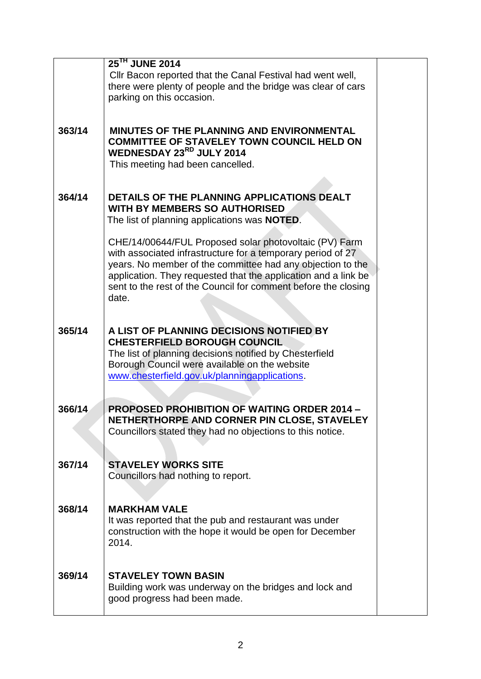|        | 25 <sup>TH</sup> JUNE 2014                                                                                        |  |
|--------|-------------------------------------------------------------------------------------------------------------------|--|
|        | Cllr Bacon reported that the Canal Festival had went well,                                                        |  |
|        | there were plenty of people and the bridge was clear of cars                                                      |  |
|        | parking on this occasion.                                                                                         |  |
|        |                                                                                                                   |  |
|        |                                                                                                                   |  |
| 363/14 | MINUTES OF THE PLANNING AND ENVIRONMENTAL                                                                         |  |
|        | <b>COMMITTEE OF STAVELEY TOWN COUNCIL HELD ON</b><br>WEDNESDAY 23RD JULY 2014                                     |  |
|        | This meeting had been cancelled.                                                                                  |  |
|        |                                                                                                                   |  |
|        |                                                                                                                   |  |
| 364/14 | DETAILS OF THE PLANNING APPLICATIONS DEALT                                                                        |  |
|        | <b>WITH BY MEMBERS SO AUTHORISED</b>                                                                              |  |
|        | The list of planning applications was <b>NOTED</b> .                                                              |  |
|        |                                                                                                                   |  |
|        | CHE/14/00644/FUL Proposed solar photovoltaic (PV) Farm                                                            |  |
|        | with associated infrastructure for a temporary period of 27                                                       |  |
|        | years. No member of the committee had any objection to the                                                        |  |
|        | application. They requested that the application and a link be                                                    |  |
|        | sent to the rest of the Council for comment before the closing                                                    |  |
|        | date.                                                                                                             |  |
|        |                                                                                                                   |  |
| 365/14 | A LIST OF PLANNING DECISIONS NOTIFIED BY                                                                          |  |
|        | <b>CHESTERFIELD BOROUGH COUNCIL</b>                                                                               |  |
|        | The list of planning decisions notified by Chesterfield                                                           |  |
|        | Borough Council were available on the website                                                                     |  |
|        | www.chesterfield.gov.uk/planningapplications.                                                                     |  |
|        |                                                                                                                   |  |
|        |                                                                                                                   |  |
| 366/14 | <b>PROPOSED PROHIBITION OF WAITING ORDER 2014 -</b><br>NETHERTHORPE AND CORNER PIN CLOSE, STAVELEY                |  |
|        | Councillors stated they had no objections to this notice.                                                         |  |
|        |                                                                                                                   |  |
|        |                                                                                                                   |  |
| 367/14 | <b>STAVELEY WORKS SITE</b>                                                                                        |  |
|        | Councillors had nothing to report.                                                                                |  |
|        |                                                                                                                   |  |
|        |                                                                                                                   |  |
| 368/14 | <b>MARKHAM VALE</b>                                                                                               |  |
|        | It was reported that the pub and restaurant was under<br>construction with the hope it would be open for December |  |
|        | 2014.                                                                                                             |  |
|        |                                                                                                                   |  |
|        |                                                                                                                   |  |
| 369/14 | <b>STAVELEY TOWN BASIN</b>                                                                                        |  |
|        | Building work was underway on the bridges and lock and                                                            |  |
|        | good progress had been made.                                                                                      |  |
|        |                                                                                                                   |  |